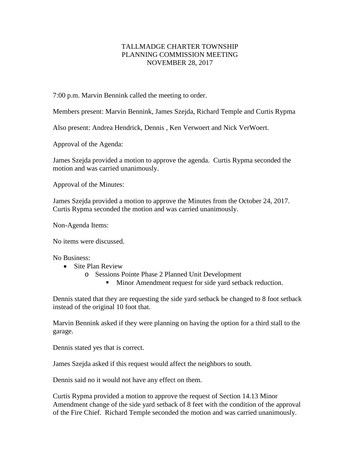## TALLMADGE CHARTER TOWNSHIP PLANNING COMMISSION MEETING NOVEMBER 28, 2017

7:00 p.m. Marvin Bennink called the meeting to order.

Members present: Marvin Bennink, James Szejda, Richard Temple and Curtis Rypma

Also present: Andrea Hendrick, Dennis , Ken Verwoert and Nick VerWoert.

Approval of the Agenda:

James Szejda provided a motion to approve the agenda. Curtis Rypma seconded the motion and was carried unanimously.

Approval of the Minutes:

James Szejda provided a motion to approve the Minutes from the October 24, 2017. Curtis Rypma seconded the motion and was carried unanimously.

Non-Agenda Items:

No items were discussed.

No Business:

- Site Plan Review
	- o Sessions Pointe Phase 2 Planned Unit Development
		- **Minor Amendment request for side yard setback reduction.**

Dennis stated that they are requesting the side yard setback be changed to 8 foot setback instead of the original 10 foot that.

Marvin Bennink asked if they were planning on having the option for a third stall to the garage.

Dennis stated yes that is correct.

James Szejda asked if this request would affect the neighbors to south.

Dennis said no it would not have any effect on them.

Curtis Rypma provided a motion to approve the request of Section 14.13 Minor Amendment change of the side yard setback of 8 feet with the condition of the approval of the Fire Chief. Richard Temple seconded the motion and was carried unanimously.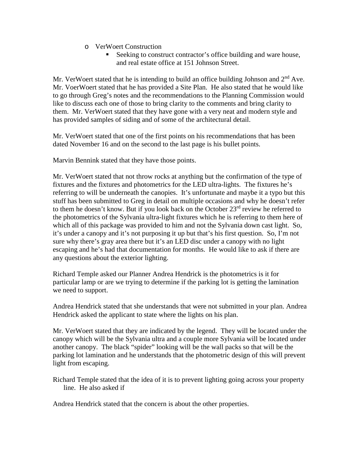- o VerWoert Construction
	- Seeking to construct contractor's office building and ware house, and real estate office at 151 Johnson Street.

Mr. VerWoert stated that he is intending to build an office building Johnson and  $2<sup>nd</sup>$  Ave. Mr. VoerWoert stated that he has provided a Site Plan. He also stated that he would like to go through Greg's notes and the recommendations to the Planning Commission would like to discuss each one of those to bring clarity to the comments and bring clarity to them. Mr. VerWoert stated that they have gone with a very neat and modern style and has provided samples of siding and of some of the architectural detail.

Mr. VerWoert stated that one of the first points on his recommendations that has been dated November 16 and on the second to the last page is his bullet points.

Marvin Bennink stated that they have those points.

Mr. VerWoert stated that not throw rocks at anything but the confirmation of the type of fixtures and the fixtures and photometrics for the LED ultra-lights. The fixtures he's referring to will be underneath the canopies. It's unfortunate and maybe it a typo but this stuff has been submitted to Greg in detail on multiple occasions and why he doesn't refer to them he doesn't know. But if you look back on the October 23<sup>rd</sup> review he referred to the photometrics of the Sylvania ultra-light fixtures which he is referring to them here of which all of this package was provided to him and not the Sylvania down cast light. So, it's under a canopy and it's not purposing it up but that's his first question. So, I'm not sure why there's gray area there but it's an LED disc under a canopy with no light escaping and he's had that documentation for months. He would like to ask if there are any questions about the exterior lighting.

Richard Temple asked our Planner Andrea Hendrick is the photometrics is it for particular lamp or are we trying to determine if the parking lot is getting the lamination we need to support.

Andrea Hendrick stated that she understands that were not submitted in your plan. Andrea Hendrick asked the applicant to state where the lights on his plan.

Mr. VerWoert stated that they are indicated by the legend. They will be located under the canopy which will be the Sylvania ultra and a couple more Sylvania will be located under another canopy. The black "spider" looking will be the wall packs so that will be the parking lot lamination and he understands that the photometric design of this will prevent light from escaping.

Richard Temple stated that the idea of it is to prevent lighting going across your property line. He also asked if

Andrea Hendrick stated that the concern is about the other properties.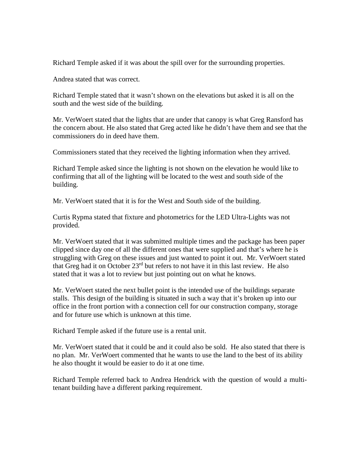Richard Temple asked if it was about the spill over for the surrounding properties.

Andrea stated that was correct.

Richard Temple stated that it wasn't shown on the elevations but asked it is all on the south and the west side of the building.

Mr. VerWoert stated that the lights that are under that canopy is what Greg Ransford has the concern about. He also stated that Greg acted like he didn't have them and see that the commissioners do in deed have them.

Commissioners stated that they received the lighting information when they arrived.

Richard Temple asked since the lighting is not shown on the elevation he would like to confirming that all of the lighting will be located to the west and south side of the building.

Mr. VerWoert stated that it is for the West and South side of the building.

Curtis Rypma stated that fixture and photometrics for the LED Ultra-Lights was not provided.

Mr. VerWoert stated that it was submitted multiple times and the package has been paper clipped since day one of all the different ones that were supplied and that's where he is struggling with Greg on these issues and just wanted to point it out. Mr. VerWoert stated that Greg had it on October 23rd but refers to not have it in this last review. He also stated that it was a lot to review but just pointing out on what he knows.

Mr. VerWoert stated the next bullet point is the intended use of the buildings separate stalls. This design of the building is situated in such a way that it's broken up into our office in the front portion with a connection cell for our construction company, storage and for future use which is unknown at this time.

Richard Temple asked if the future use is a rental unit.

Mr. VerWoert stated that it could be and it could also be sold. He also stated that there is no plan. Mr. VerWoert commented that he wants to use the land to the best of its ability he also thought it would be easier to do it at one time.

Richard Temple referred back to Andrea Hendrick with the question of would a multitenant building have a different parking requirement.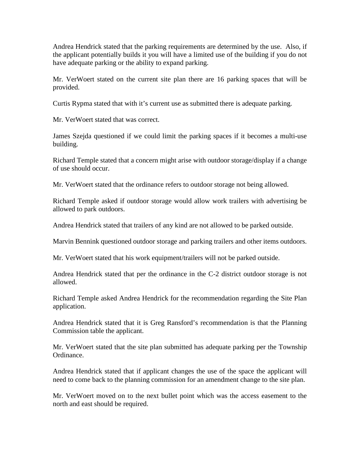Andrea Hendrick stated that the parking requirements are determined by the use. Also, if the applicant potentially builds it you will have a limited use of the building if you do not have adequate parking or the ability to expand parking.

Mr. VerWoert stated on the current site plan there are 16 parking spaces that will be provided.

Curtis Rypma stated that with it's current use as submitted there is adequate parking.

Mr. VerWoert stated that was correct.

James Szejda questioned if we could limit the parking spaces if it becomes a multi-use building.

Richard Temple stated that a concern might arise with outdoor storage/display if a change of use should occur.

Mr. VerWoert stated that the ordinance refers to outdoor storage not being allowed.

Richard Temple asked if outdoor storage would allow work trailers with advertising be allowed to park outdoors.

Andrea Hendrick stated that trailers of any kind are not allowed to be parked outside.

Marvin Bennink questioned outdoor storage and parking trailers and other items outdoors.

Mr. VerWoert stated that his work equipment/trailers will not be parked outside.

Andrea Hendrick stated that per the ordinance in the C-2 district outdoor storage is not allowed.

Richard Temple asked Andrea Hendrick for the recommendation regarding the Site Plan application.

Andrea Hendrick stated that it is Greg Ransford's recommendation is that the Planning Commission table the applicant.

Mr. VerWoert stated that the site plan submitted has adequate parking per the Township Ordinance.

Andrea Hendrick stated that if applicant changes the use of the space the applicant will need to come back to the planning commission for an amendment change to the site plan.

Mr. VerWoert moved on to the next bullet point which was the access easement to the north and east should be required.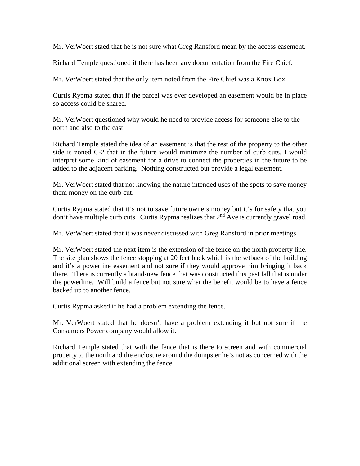Mr. VerWoert staed that he is not sure what Greg Ransford mean by the access easement.

Richard Temple questioned if there has been any documentation from the Fire Chief.

Mr. VerWoert stated that the only item noted from the Fire Chief was a Knox Box.

Curtis Rypma stated that if the parcel was ever developed an easement would be in place so access could be shared.

Mr. VerWoert questioned why would he need to provide access for someone else to the north and also to the east.

Richard Temple stated the idea of an easement is that the rest of the property to the other side is zoned C-2 that in the future would minimize the number of curb cuts. I would interpret some kind of easement for a drive to connect the properties in the future to be added to the adjacent parking. Nothing constructed but provide a legal easement.

Mr. VerWoert stated that not knowing the nature intended uses of the spots to save money them money on the curb cut.

Curtis Rypma stated that it's not to save future owners money but it's for safety that you don't have multiple curb cuts. Curtis Rypma realizes that  $2<sup>nd</sup>$  Ave is currently gravel road.

Mr. VerWoert stated that it was never discussed with Greg Ransford in prior meetings.

Mr. VerWoert stated the next item is the extension of the fence on the north property line. The site plan shows the fence stopping at 20 feet back which is the setback of the building and it's a powerline easement and not sure if they would approve him bringing it back there. There is currently a brand-new fence that was constructed this past fall that is under the powerline. Will build a fence but not sure what the benefit would be to have a fence backed up to another fence.

Curtis Rypma asked if he had a problem extending the fence.

Mr. VerWoert stated that he doesn't have a problem extending it but not sure if the Consumers Power company would allow it.

Richard Temple stated that with the fence that is there to screen and with commercial property to the north and the enclosure around the dumpster he's not as concerned with the additional screen with extending the fence.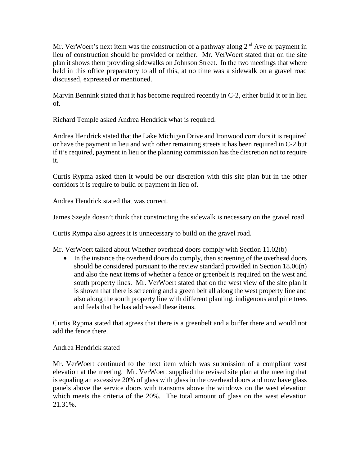Mr. VerWoert's next item was the construction of a pathway along  $2<sup>nd</sup>$  Ave or payment in lieu of construction should be provided or neither. Mr. VerWoert stated that on the site plan it shows them providing sidewalks on Johnson Street. In the two meetings that where held in this office preparatory to all of this, at no time was a sidewalk on a gravel road discussed, expressed or mentioned.

Marvin Bennink stated that it has become required recently in C-2, either build it or in lieu of.

Richard Temple asked Andrea Hendrick what is required.

Andrea Hendrick stated that the Lake Michigan Drive and Ironwood corridors it is required or have the payment in lieu and with other remaining streets it has been required in C-2 but if it's required, payment in lieu or the planning commission has the discretion not to require it.

Curtis Rypma asked then it would be our discretion with this site plan but in the other corridors it is require to build or payment in lieu of.

Andrea Hendrick stated that was correct.

James Szejda doesn't think that constructing the sidewalk is necessary on the gravel road.

Curtis Rympa also agrees it is unnecessary to build on the gravel road.

Mr. VerWoert talked about Whether overhead doors comply with Section 11.02(b)

• In the instance the overhead doors do comply, then screening of the overhead doors should be considered pursuant to the review standard provided in Section 18.06(n) and also the next items of whether a fence or greenbelt is required on the west and south property lines. Mr. VerWoert stated that on the west view of the site plan it is shown that there is screening and a green belt all along the west property line and also along the south property line with different planting, indigenous and pine trees and feels that he has addressed these items.

Curtis Rypma stated that agrees that there is a greenbelt and a buffer there and would not add the fence there.

## Andrea Hendrick stated

Mr. VerWoert continued to the next item which was submission of a compliant west elevation at the meeting. Mr. VerWoert supplied the revised site plan at the meeting that is equaling an excessive 20% of glass with glass in the overhead doors and now have glass panels above the service doors with transoms above the windows on the west elevation which meets the criteria of the 20%. The total amount of glass on the west elevation 21.31%.